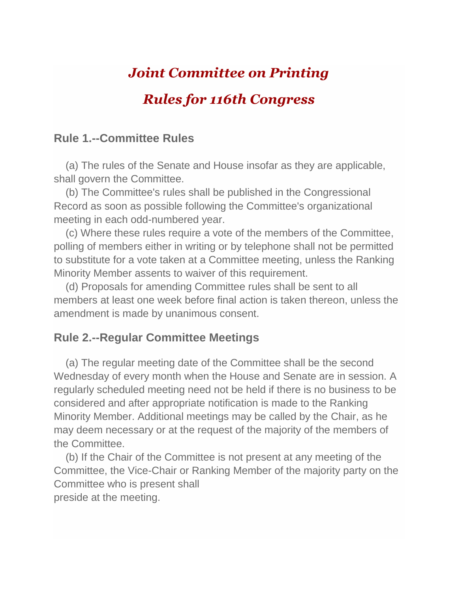# *Joint Committee on Printing*

## *Rules for 116th Congress*

#### **Rule 1.--Committee Rules**

 (a) The rules of the Senate and House insofar as they are applicable, shall govern the Committee.

 (b) The Committee's rules shall be published in the Congressional Record as soon as possible following the Committee's organizational meeting in each odd-numbered year.

 (c) Where these rules require a vote of the members of the Committee, polling of members either in writing or by telephone shall not be permitted to substitute for a vote taken at a Committee meeting, unless the Ranking Minority Member assents to waiver of this requirement.

 (d) Proposals for amending Committee rules shall be sent to all members at least one week before final action is taken thereon, unless the amendment is made by unanimous consent.

#### **Rule 2.--Regular Committee Meetings**

 (a) The regular meeting date of the Committee shall be the second Wednesday of every month when the House and Senate are in session. A regularly scheduled meeting need not be held if there is no business to be considered and after appropriate notification is made to the Ranking Minority Member. Additional meetings may be called by the Chair, as he may deem necessary or at the request of the majority of the members of the Committee.

 (b) If the Chair of the Committee is not present at any meeting of the Committee, the Vice-Chair or Ranking Member of the majority party on the Committee who is present shall preside at the meeting.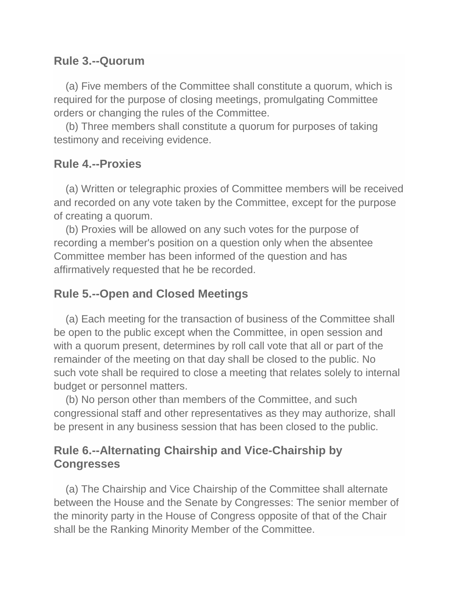### **Rule 3.--Quorum**

 (a) Five members of the Committee shall constitute a quorum, which is required for the purpose of closing meetings, promulgating Committee orders or changing the rules of the Committee.

 (b) Three members shall constitute a quorum for purposes of taking testimony and receiving evidence.

### **Rule 4.--Proxies**

 (a) Written or telegraphic proxies of Committee members will be received and recorded on any vote taken by the Committee, except for the purpose of creating a quorum.

 (b) Proxies will be allowed on any such votes for the purpose of recording a member's position on a question only when the absentee Committee member has been informed of the question and has affirmatively requested that he be recorded.

### **Rule 5.--Open and Closed Meetings**

 (a) Each meeting for the transaction of business of the Committee shall be open to the public except when the Committee, in open session and with a quorum present, determines by roll call vote that all or part of the remainder of the meeting on that day shall be closed to the public. No such vote shall be required to close a meeting that relates solely to internal budget or personnel matters.

 (b) No person other than members of the Committee, and such congressional staff and other representatives as they may authorize, shall be present in any business session that has been closed to the public.

### **Rule 6.--Alternating Chairship and Vice-Chairship by Congresses**

 (a) The Chairship and Vice Chairship of the Committee shall alternate between the House and the Senate by Congresses: The senior member of the minority party in the House of Congress opposite of that of the Chair shall be the Ranking Minority Member of the Committee.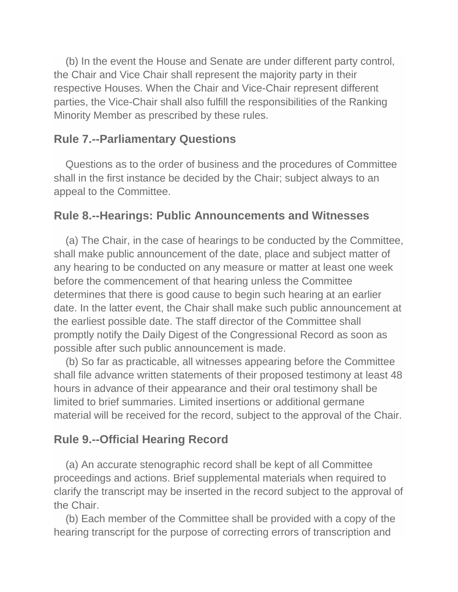(b) In the event the House and Senate are under different party control, the Chair and Vice Chair shall represent the majority party in their respective Houses. When the Chair and Vice-Chair represent different parties, the Vice-Chair shall also fulfill the responsibilities of the Ranking Minority Member as prescribed by these rules.

#### **Rule 7.--Parliamentary Questions**

 Questions as to the order of business and the procedures of Committee shall in the first instance be decided by the Chair; subject always to an appeal to the Committee.

#### **Rule 8.--Hearings: Public Announcements and Witnesses**

 (a) The Chair, in the case of hearings to be conducted by the Committee, shall make public announcement of the date, place and subject matter of any hearing to be conducted on any measure or matter at least one week before the commencement of that hearing unless the Committee determines that there is good cause to begin such hearing at an earlier date. In the latter event, the Chair shall make such public announcement at the earliest possible date. The staff director of the Committee shall promptly notify the Daily Digest of the Congressional Record as soon as possible after such public announcement is made.

 (b) So far as practicable, all witnesses appearing before the Committee shall file advance written statements of their proposed testimony at least 48 hours in advance of their appearance and their oral testimony shall be limited to brief summaries. Limited insertions or additional germane material will be received for the record, subject to the approval of the Chair.

### **Rule 9.--Official Hearing Record**

 (a) An accurate stenographic record shall be kept of all Committee proceedings and actions. Brief supplemental materials when required to clarify the transcript may be inserted in the record subject to the approval of the Chair.

 (b) Each member of the Committee shall be provided with a copy of the hearing transcript for the purpose of correcting errors of transcription and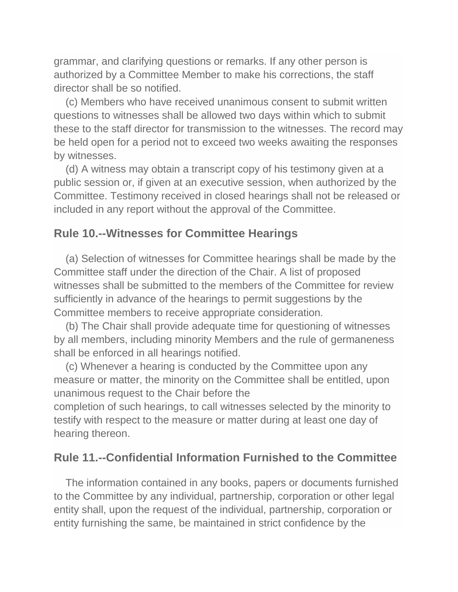grammar, and clarifying questions or remarks. If any other person is authorized by a Committee Member to make his corrections, the staff director shall be so notified.

 (c) Members who have received unanimous consent to submit written questions to witnesses shall be allowed two days within which to submit these to the staff director for transmission to the witnesses. The record may be held open for a period not to exceed two weeks awaiting the responses by witnesses.

 (d) A witness may obtain a transcript copy of his testimony given at a public session or, if given at an executive session, when authorized by the Committee. Testimony received in closed hearings shall not be released or included in any report without the approval of the Committee.

#### **Rule 10.--Witnesses for Committee Hearings**

 (a) Selection of witnesses for Committee hearings shall be made by the Committee staff under the direction of the Chair. A list of proposed witnesses shall be submitted to the members of the Committee for review sufficiently in advance of the hearings to permit suggestions by the Committee members to receive appropriate consideration.

 (b) The Chair shall provide adequate time for questioning of witnesses by all members, including minority Members and the rule of germaneness shall be enforced in all hearings notified.

 (c) Whenever a hearing is conducted by the Committee upon any measure or matter, the minority on the Committee shall be entitled, upon unanimous request to the Chair before the

completion of such hearings, to call witnesses selected by the minority to testify with respect to the measure or matter during at least one day of hearing thereon.

#### **Rule 11.--Confidential Information Furnished to the Committee**

 The information contained in any books, papers or documents furnished to the Committee by any individual, partnership, corporation or other legal entity shall, upon the request of the individual, partnership, corporation or entity furnishing the same, be maintained in strict confidence by the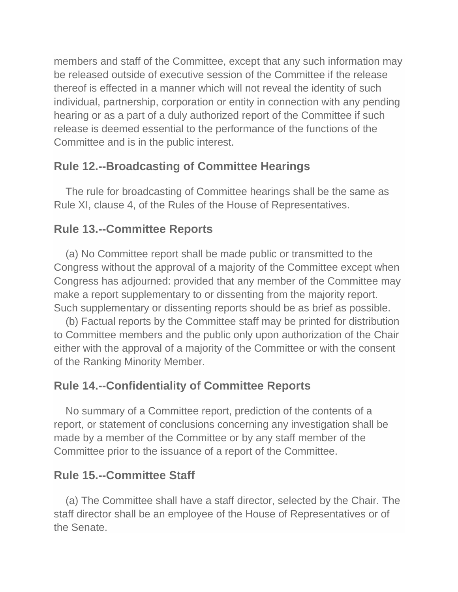members and staff of the Committee, except that any such information may be released outside of executive session of the Committee if the release thereof is effected in a manner which will not reveal the identity of such individual, partnership, corporation or entity in connection with any pending hearing or as a part of a duly authorized report of the Committee if such release is deemed essential to the performance of the functions of the Committee and is in the public interest.

### **Rule 12.--Broadcasting of Committee Hearings**

 The rule for broadcasting of Committee hearings shall be the same as Rule XI, clause 4, of the Rules of the House of Representatives.

### **Rule 13.--Committee Reports**

 (a) No Committee report shall be made public or transmitted to the Congress without the approval of a majority of the Committee except when Congress has adjourned: provided that any member of the Committee may make a report supplementary to or dissenting from the majority report. Such supplementary or dissenting reports should be as brief as possible.

 (b) Factual reports by the Committee staff may be printed for distribution to Committee members and the public only upon authorization of the Chair either with the approval of a majority of the Committee or with the consent of the Ranking Minority Member.

### **Rule 14.--Confidentiality of Committee Reports**

 No summary of a Committee report, prediction of the contents of a report, or statement of conclusions concerning any investigation shall be made by a member of the Committee or by any staff member of the Committee prior to the issuance of a report of the Committee.

### **Rule 15.--Committee Staff**

 (a) The Committee shall have a staff director, selected by the Chair. The staff director shall be an employee of the House of Representatives or of the Senate.